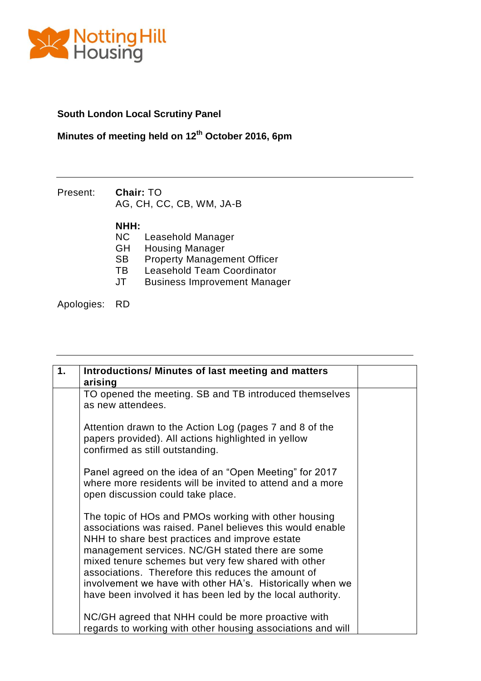

## **South London Local Scrutiny Panel**

## **Minutes of meeting held on 12th October 2016, 6pm**

Present: **Chair:** TO AG, CH, CC, CB, WM, JA-B

- **NHH:** Leasehold Manager
- GH Housing Manager
- SB Property Management Officer<br>TB Leasehold Team Coordinator
- 
- TB Leasehold Team Coordinator<br>JT Business Improvement Manad Business Improvement Manager

Apologies: RD

| 1. | <b>Introductions/ Minutes of last meeting and matters</b><br>arising                                                                                                                                                                                                                                                                                                                                                                                            |  |
|----|-----------------------------------------------------------------------------------------------------------------------------------------------------------------------------------------------------------------------------------------------------------------------------------------------------------------------------------------------------------------------------------------------------------------------------------------------------------------|--|
|    | TO opened the meeting. SB and TB introduced themselves<br>as new attendees.                                                                                                                                                                                                                                                                                                                                                                                     |  |
|    | Attention drawn to the Action Log (pages 7 and 8 of the<br>papers provided). All actions highlighted in yellow<br>confirmed as still outstanding.                                                                                                                                                                                                                                                                                                               |  |
|    | Panel agreed on the idea of an "Open Meeting" for 2017<br>where more residents will be invited to attend and a more<br>open discussion could take place.                                                                                                                                                                                                                                                                                                        |  |
|    | The topic of HOs and PMOs working with other housing<br>associations was raised. Panel believes this would enable<br>NHH to share best practices and improve estate<br>management services. NC/GH stated there are some<br>mixed tenure schemes but very few shared with other<br>associations. Therefore this reduces the amount of<br>involvement we have with other HA's. Historically when we<br>have been involved it has been led by the local authority. |  |
|    | NC/GH agreed that NHH could be more proactive with<br>regards to working with other housing associations and will                                                                                                                                                                                                                                                                                                                                               |  |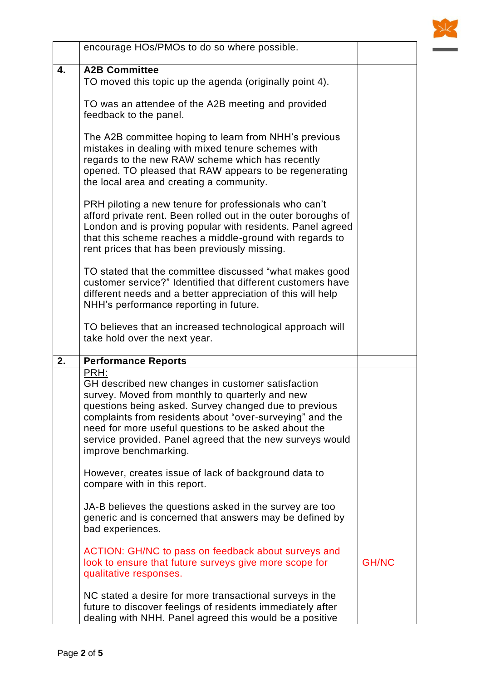

|    | encourage HOs/PMOs to do so where possible.                                                                                                                                                                                                                                                                                                                                     |              |
|----|---------------------------------------------------------------------------------------------------------------------------------------------------------------------------------------------------------------------------------------------------------------------------------------------------------------------------------------------------------------------------------|--------------|
| 4. | <b>A2B Committee</b>                                                                                                                                                                                                                                                                                                                                                            |              |
|    | TO moved this topic up the agenda (originally point 4).                                                                                                                                                                                                                                                                                                                         |              |
|    | TO was an attendee of the A2B meeting and provided<br>feedback to the panel.                                                                                                                                                                                                                                                                                                    |              |
|    | The A2B committee hoping to learn from NHH's previous<br>mistakes in dealing with mixed tenure schemes with<br>regards to the new RAW scheme which has recently<br>opened. TO pleased that RAW appears to be regenerating<br>the local area and creating a community.                                                                                                           |              |
|    | PRH piloting a new tenure for professionals who can't<br>afford private rent. Been rolled out in the outer boroughs of<br>London and is proving popular with residents. Panel agreed<br>that this scheme reaches a middle-ground with regards to<br>rent prices that has been previously missing.                                                                               |              |
|    | TO stated that the committee discussed "what makes good<br>customer service?" Identified that different customers have<br>different needs and a better appreciation of this will help<br>NHH's performance reporting in future.                                                                                                                                                 |              |
|    | TO believes that an increased technological approach will<br>take hold over the next year.                                                                                                                                                                                                                                                                                      |              |
| 2. | <b>Performance Reports</b>                                                                                                                                                                                                                                                                                                                                                      |              |
|    | PRH:<br>GH described new changes in customer satisfaction<br>survey. Moved from monthly to quarterly and new<br>questions being asked. Survey changed due to previous<br>complaints from residents about "over-surveying" and the<br>need for more useful questions to be asked about the<br>service provided. Panel agreed that the new surveys would<br>improve benchmarking. |              |
|    | However, creates issue of lack of background data to<br>compare with in this report.                                                                                                                                                                                                                                                                                            |              |
|    | JA-B believes the questions asked in the survey are too<br>generic and is concerned that answers may be defined by<br>bad experiences.                                                                                                                                                                                                                                          |              |
|    | ACTION: GH/NC to pass on feedback about surveys and<br>look to ensure that future surveys give more scope for<br>qualitative responses.                                                                                                                                                                                                                                         | <b>GH/NC</b> |
|    | NC stated a desire for more transactional surveys in the<br>future to discover feelings of residents immediately after<br>dealing with NHH. Panel agreed this would be a positive                                                                                                                                                                                               |              |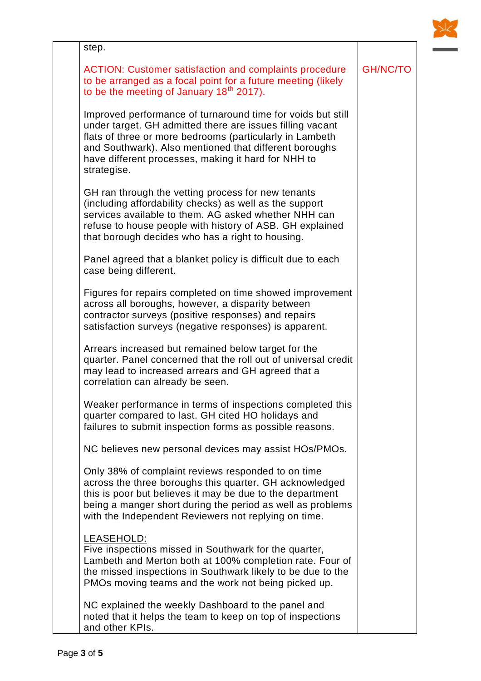

GH/NC/TO

step.

ACTION: Customer satisfaction and complaints procedure to be arranged as a focal point for a future meeting (likely to be the meeting of January  $18<sup>th</sup> 2017$ ).

Improved performance of turnaround time for voids but still under target. GH admitted there are issues filling vacant flats of three or more bedrooms (particularly in Lambeth and Southwark). Also mentioned that different boroughs have different processes, making it hard for NHH to strategise.

GH ran through the vetting process for new tenants (including affordability checks) as well as the support services available to them. AG asked whether NHH can refuse to house people with history of ASB. GH explained that borough decides who has a right to housing.

Panel agreed that a blanket policy is difficult due to each case being different.

Figures for repairs completed on time showed improvement across all boroughs, however, a disparity between contractor surveys (positive responses) and repairs satisfaction surveys (negative responses) is apparent.

Arrears increased but remained below target for the quarter. Panel concerned that the roll out of universal credit may lead to increased arrears and GH agreed that a correlation can already be seen.

Weaker performance in terms of inspections completed this quarter compared to last. GH cited HO holidays and failures to submit inspection forms as possible reasons.

NC believes new personal devices may assist HOs/PMOs.

Only 38% of complaint reviews responded to on time across the three boroughs this quarter. GH acknowledged this is poor but believes it may be due to the department being a manger short during the period as well as problems with the Independent Reviewers not replying on time.

## LEASEHOLD:

Five inspections missed in Southwark for the quarter, Lambeth and Merton both at 100% completion rate. Four of the missed inspections in Southwark likely to be due to the PMOs moving teams and the work not being picked up.

NC explained the weekly Dashboard to the panel and noted that it helps the team to keep on top of inspections and other KPIs.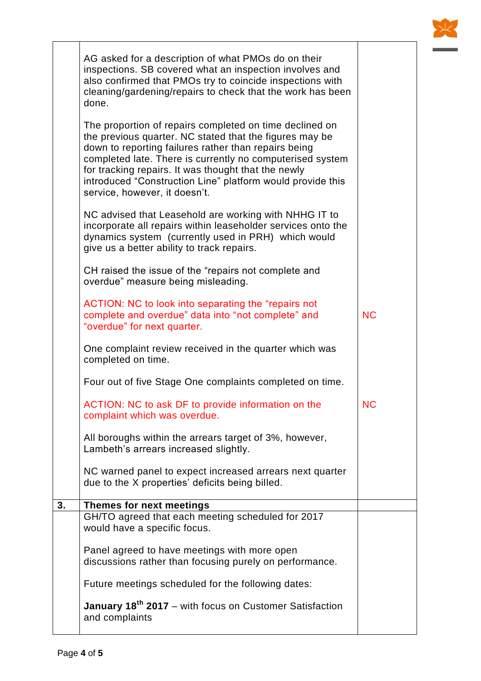|    | AG asked for a description of what PMOs do on their<br>inspections. SB covered what an inspection involves and<br>also confirmed that PMOs try to coincide inspections with<br>cleaning/gardening/repairs to check that the work has been<br>done.                                                                                                                                            |           |  |
|----|-----------------------------------------------------------------------------------------------------------------------------------------------------------------------------------------------------------------------------------------------------------------------------------------------------------------------------------------------------------------------------------------------|-----------|--|
|    | The proportion of repairs completed on time declined on<br>the previous quarter. NC stated that the figures may be<br>down to reporting failures rather than repairs being<br>completed late. There is currently no computerised system<br>for tracking repairs. It was thought that the newly<br>introduced "Construction Line" platform would provide this<br>service, however, it doesn't. |           |  |
|    | NC advised that Leasehold are working with NHHG IT to<br>incorporate all repairs within leaseholder services onto the<br>dynamics system (currently used in PRH) which would<br>give us a better ability to track repairs.                                                                                                                                                                    |           |  |
|    | CH raised the issue of the "repairs not complete and<br>overdue" measure being misleading.                                                                                                                                                                                                                                                                                                    |           |  |
|    | ACTION: NC to look into separating the "repairs not<br>complete and overdue" data into "not complete" and<br>"overdue" for next quarter.                                                                                                                                                                                                                                                      | <b>NC</b> |  |
|    | One complaint review received in the quarter which was<br>completed on time.                                                                                                                                                                                                                                                                                                                  |           |  |
|    | Four out of five Stage One complaints completed on time.                                                                                                                                                                                                                                                                                                                                      |           |  |
|    | ACTION: NC to ask DF to provide information on the<br>complaint which was overdue.                                                                                                                                                                                                                                                                                                            | <b>NC</b> |  |
|    | All boroughs within the arrears target of 3%, however,<br>Lambeth's arrears increased slightly.                                                                                                                                                                                                                                                                                               |           |  |
|    | NC warned panel to expect increased arrears next quarter<br>due to the X properties' deficits being billed.                                                                                                                                                                                                                                                                                   |           |  |
| 3. | Themes for next meetings                                                                                                                                                                                                                                                                                                                                                                      |           |  |
|    | GH/TO agreed that each meeting scheduled for 2017<br>would have a specific focus.                                                                                                                                                                                                                                                                                                             |           |  |
|    | Panel agreed to have meetings with more open<br>discussions rather than focusing purely on performance.                                                                                                                                                                                                                                                                                       |           |  |
|    | Future meetings scheduled for the following dates:                                                                                                                                                                                                                                                                                                                                            |           |  |
|    | January 18 <sup>th</sup> 2017 - with focus on Customer Satisfaction<br>and complaints                                                                                                                                                                                                                                                                                                         |           |  |